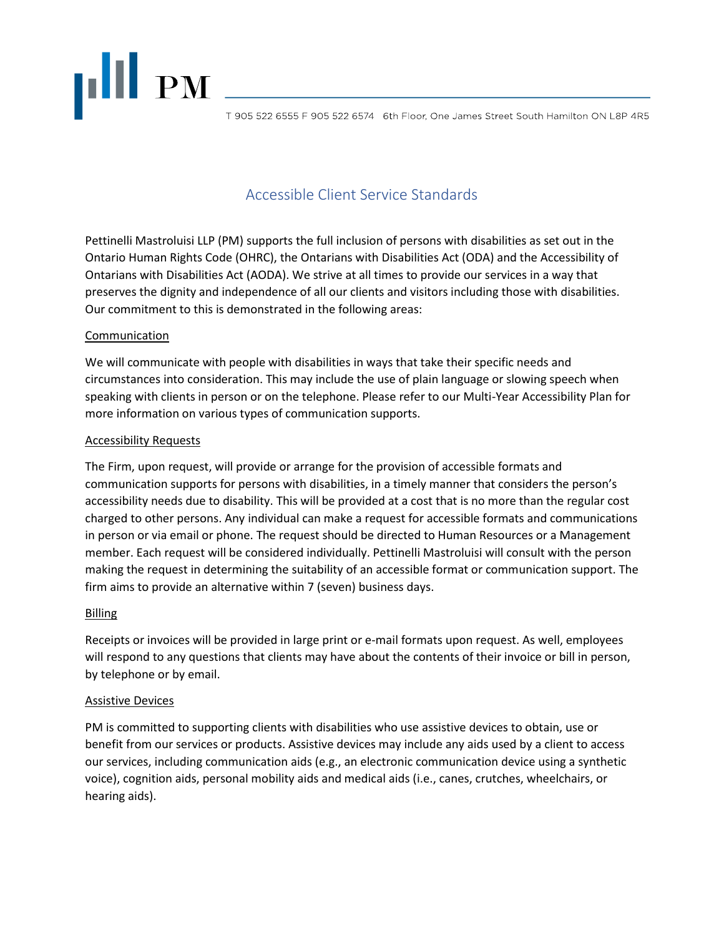

T 905 522 6555 F 905 522 6574 6th Floor, One James Street South Hamilton ON L8P 4R5

# Accessible Client Service Standards

Pettinelli Mastroluisi LLP (PM) supports the full inclusion of persons with disabilities as set out in the Ontario Human Rights Code (OHRC), the Ontarians with Disabilities Act (ODA) and the Accessibility of Ontarians with Disabilities Act (AODA). We strive at all times to provide our services in a way that preserves the dignity and independence of all our clients and visitors including those with disabilities. Our commitment to this is demonstrated in the following areas:

# Communication

We will communicate with people with disabilities in ways that take their specific needs and circumstances into consideration. This may include the use of plain language or slowing speech when speaking with clients in person or on the telephone. Please refer to our Multi-Year Accessibility Plan for more information on various types of communication supports.

# Accessibility Requests

The Firm, upon request, will provide or arrange for the provision of accessible formats and communication supports for persons with disabilities, in a timely manner that considers the person's accessibility needs due to disability. This will be provided at a cost that is no more than the regular cost charged to other persons. Any individual can make a request for accessible formats and communications in person or via email or phone. The request should be directed to Human Resources or a Management member. Each request will be considered individually. Pettinelli Mastroluisi will consult with the person making the request in determining the suitability of an accessible format or communication support. The firm aims to provide an alternative within 7 (seven) business days.

# Billing

Receipts or invoices will be provided in large print or e-mail formats upon request. As well, employees will respond to any questions that clients may have about the contents of their invoice or bill in person, by telephone or by email.

# Assistive Devices

PM is committed to supporting clients with disabilities who use assistive devices to obtain, use or benefit from our services or products. Assistive devices may include any aids used by a client to access our services, including communication aids (e.g., an electronic communication device using a synthetic voice), cognition aids, personal mobility aids and medical aids (i.e., canes, crutches, wheelchairs, or hearing aids).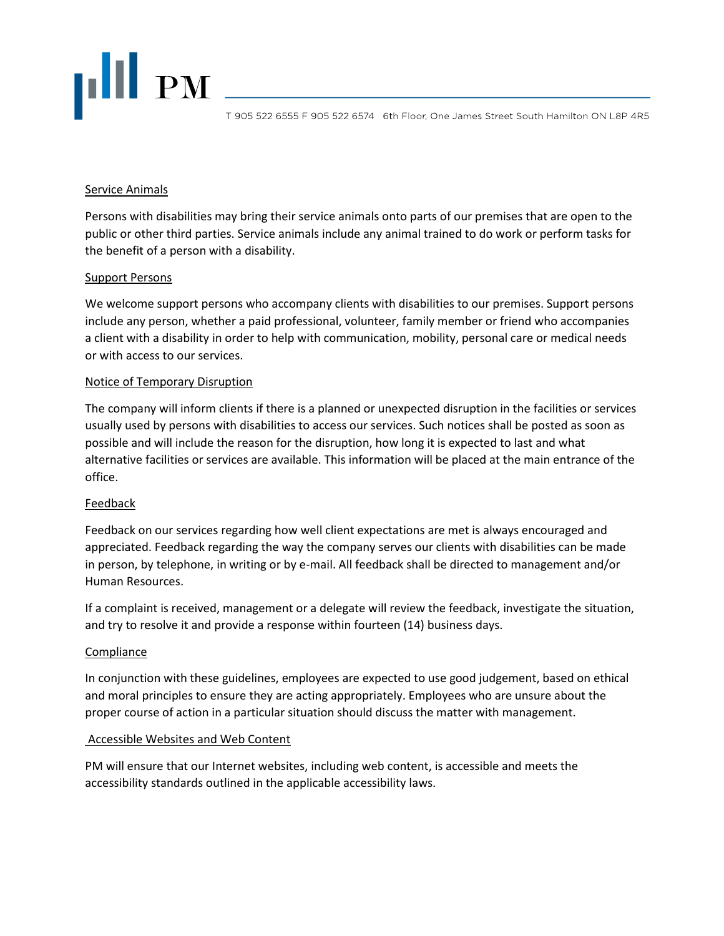# **THEFT**

T 905 522 6555 F 905 522 6574 6th Floor, One James Street South Hamilton ON L8P 4R5

#### Service Animals

Persons with disabilities may bring their service animals onto parts of our premises that are open to the public or other third parties. Service animals include any animal trained to do work or perform tasks for the benefit of a person with a disability.

# Support Persons

We welcome support persons who accompany clients with disabilities to our premises. Support persons include any person, whether a paid professional, volunteer, family member or friend who accompanies a client with a disability in order to help with communication, mobility, personal care or medical needs or with access to our services.

# Notice of Temporary Disruption

The company will inform clients if there is a planned or unexpected disruption in the facilities or services usually used by persons with disabilities to access our services. Such notices shall be posted as soon as possible and will include the reason for the disruption, how long it is expected to last and what alternative facilities or services are available. This information will be placed at the main entrance of the office.

# Feedback

Feedback on our services regarding how well client expectations are met is always encouraged and appreciated. Feedback regarding the way the company serves our clients with disabilities can be made in person, by telephone, in writing or by e-mail. All feedback shall be directed to management and/or Human Resources.

If a complaint is received, management or a delegate will review the feedback, investigate the situation, and try to resolve it and provide a response within fourteen (14) business days.

#### **Compliance**

In conjunction with these guidelines, employees are expected to use good judgement, based on ethical and moral principles to ensure they are acting appropriately. Employees who are unsure about the proper course of action in a particular situation should discuss the matter with management.

#### Accessible Websites and Web Content

PM will ensure that our Internet websites, including web content, is accessible and meets the accessibility standards outlined in the applicable accessibility laws.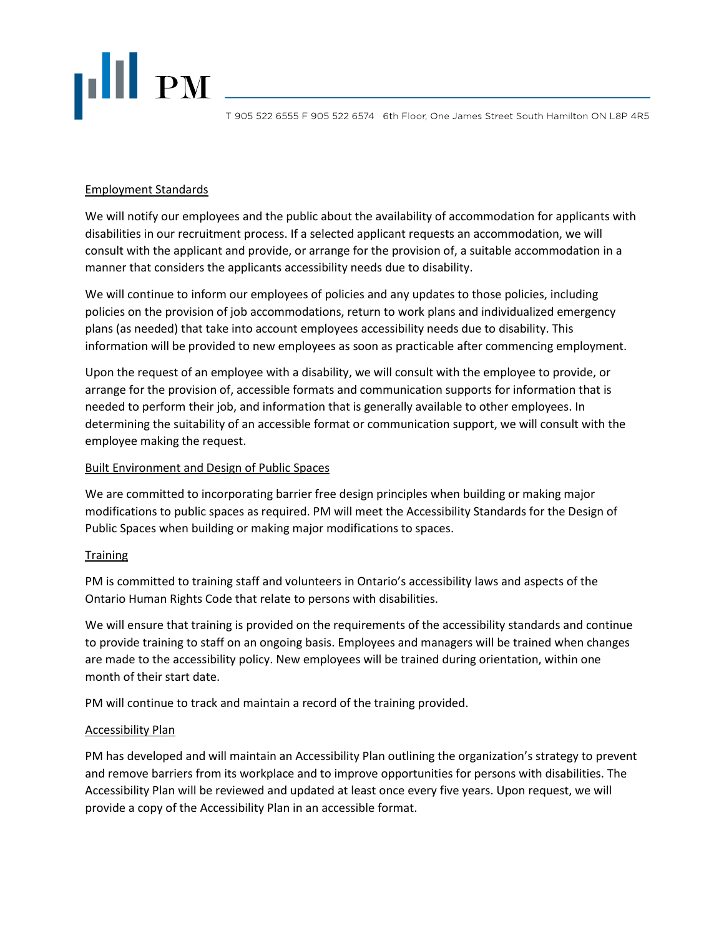

T 905 522 6555 F 905 522 6574 6th Floor, One James Street South Hamilton ON L8P 4R5

# Employment Standards

We will notify our employees and the public about the availability of accommodation for applicants with disabilities in our recruitment process. If a selected applicant requests an accommodation, we will consult with the applicant and provide, or arrange for the provision of, a suitable accommodation in a manner that considers the applicants accessibility needs due to disability.

We will continue to inform our employees of policies and any updates to those policies, including policies on the provision of job accommodations, return to work plans and individualized emergency plans (as needed) that take into account employees accessibility needs due to disability. This information will be provided to new employees as soon as practicable after commencing employment.

Upon the request of an employee with a disability, we will consult with the employee to provide, or arrange for the provision of, accessible formats and communication supports for information that is needed to perform their job, and information that is generally available to other employees. In determining the suitability of an accessible format or communication support, we will consult with the employee making the request.

# Built Environment and Design of Public Spaces

We are committed to incorporating barrier free design principles when building or making major modifications to public spaces as required. PM will meet the Accessibility Standards for the Design of Public Spaces when building or making major modifications to spaces.

# **Training**

PM is committed to training staff and volunteers in Ontario's accessibility laws and aspects of the Ontario Human Rights Code that relate to persons with disabilities.

We will ensure that training is provided on the requirements of the accessibility standards and continue to provide training to staff on an ongoing basis. Employees and managers will be trained when changes are made to the accessibility policy. New employees will be trained during orientation, within one month of their start date.

PM will continue to track and maintain a record of the training provided.

#### Accessibility Plan

PM has developed and will maintain an Accessibility Plan outlining the organization's strategy to prevent and remove barriers from its workplace and to improve opportunities for persons with disabilities. The Accessibility Plan will be reviewed and updated at least once every five years. Upon request, we will provide a copy of the Accessibility Plan in an accessible format.